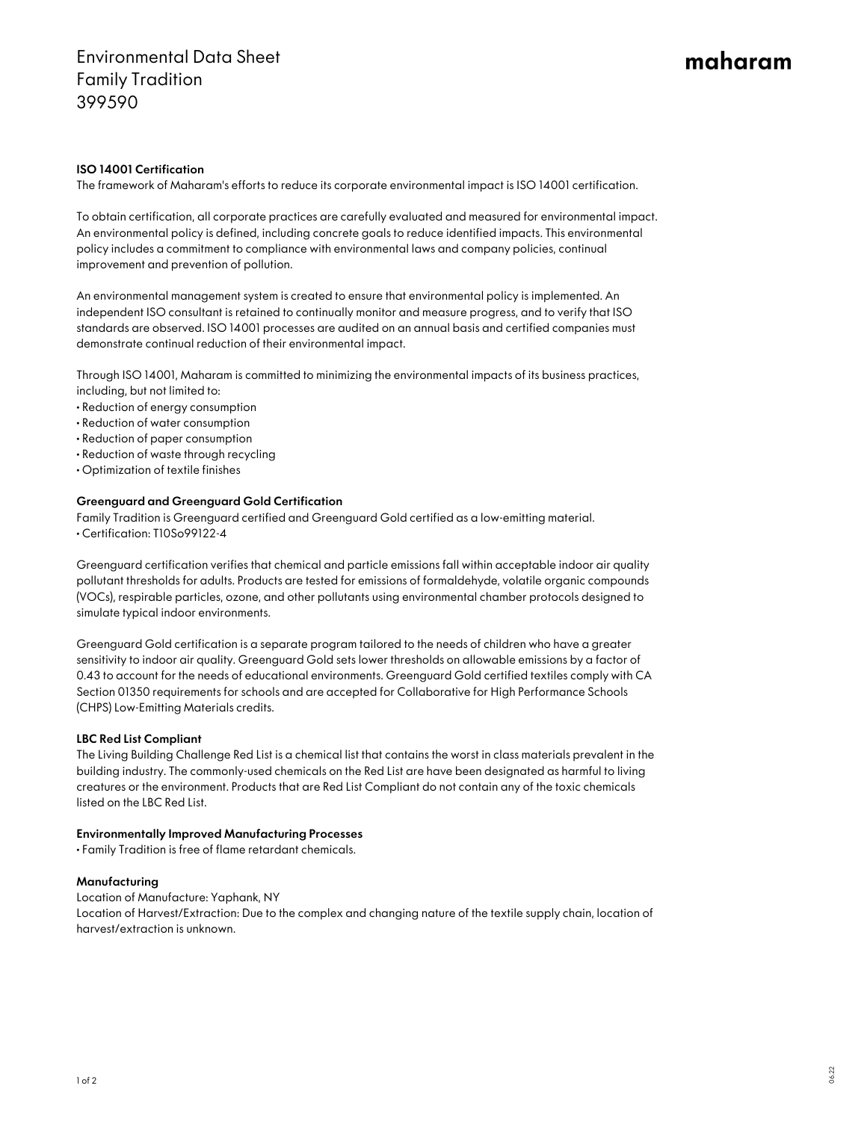# Environmental Data Sheet Family Tradition 399590

# maharam

### ISO 14001 Certification

The framework of Maharam's efforts to reduce its corporate environmental impact is ISO 14001 certification.

To obtain certification, all corporate practices are carefully evaluated and measured for environmental impact. An environmental policy is defined, including concrete goals to reduce identified impacts. This environmental policy includes a commitment to compliance with environmental laws and company policies, continual improvement and prevention of pollution.

An environmental management system is created to ensure that environmental policy is implemented. An independent ISO consultant is retained to continually monitor and measure progress, and to verify that ISO standards are observed. ISO 14001 processes are audited on an annual basis and certified companies must demonstrate continual reduction of their environmental impact.

Through ISO 14001, Maharam is committed to minimizing the environmental impacts of its business practices, including, but not limited to:

- Reduction of energy consumption
- Reduction of water consumption
- Reduction of paper consumption
- Reduction of waste through recycling
- Optimization of textile finishes

#### Greenguard and Greenguard Gold Certification

Family Tradition is Greenguard certified and Greenguard Gold certified as a low-emitting material. • Certification: T10So99122-4

Greenguard certification verifies that chemical and particle emissions fall within acceptable indoor air quality pollutant thresholds for adults. Products are tested for emissions of formaldehyde, volatile organic compounds (VOCs), respirable particles, ozone, and other pollutants using environmental chamber protocols designed to simulate typical indoor environments.

Greenguard Gold certification is a separate program tailored to the needs of children who have a greater sensitivity to indoor air quality. Greenguard Gold sets lower thresholds on allowable emissions by a factor of 0.43 to account for the needs of educational environments. Greenguard Gold certified textiles comply with CA Section 01350 requirements for schools and are accepted for Collaborative for High Performance Schools (CHPS) Low-Emitting Materials credits.

#### LBC Red List Compliant

The Living Building Challenge Red List is a chemical list that contains the worst in class materials prevalent in the building industry. The commonly-used chemicals on the Red List are have been designated as harmful to living creatures or the environment. Products that are Red List Compliant do not contain any of the toxic chemicals listed on the LBC Red List.

#### Environmentally Improved Manufacturing Processes

• Family Tradition is free of flame retardant chemicals.

#### Manufacturing

Location of Manufacture: Yaphank, NY Location of Harvest/Extraction: Due to the complex and changing nature of the textile supply chain, location of harvest/extraction is unknown.